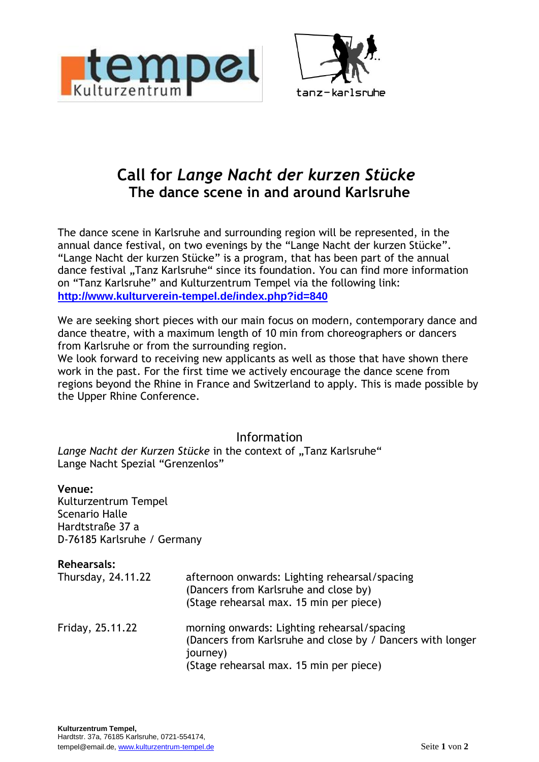



# **Call for** *Lange Nacht der kurzen Stücke* **The dance scene in and around Karlsruhe**

The dance scene in Karlsruhe and surrounding region will be represented, in the annual dance festival, on two evenings by the "Lange Nacht der kurzen Stücke". "Lange Nacht der kurzen Stücke" is a program, that has been part of the annual dance festival "Tanz Karlsruhe" since its foundation. You can find more information on "Tanz Karlsruhe" and Kulturzentrum Tempel via the following link: **http://www.kulturverein-tempel.de/index.php?id=840**

We are seeking short pieces with our main focus on modern, contemporary dance and dance theatre, with a maximum length of 10 min from choreographers or dancers from Karlsruhe or from the surrounding region.

We look forward to receiving new applicants as well as those that have shown there work in the past. For the first time we actively encourage the dance scene from regions beyond the Rhine in France and Switzerland to apply. This is made possible by the Upper Rhine Conference.

# Information

Lange Nacht der Kurzen Stücke in the context of ..Tanz Karlsruhe" Lange Nacht Spezial "Grenzenlos"

#### **Venue:**

Kulturzentrum Tempel Scenario Halle Hardtstraße 37 a D-76185 Karlsruhe / Germany

| <b>Rehearsals:</b><br>Thursday, 24.11.22 | afternoon onwards: Lighting rehearsal/spacing<br>(Dancers from Karlsruhe and close by)<br>(Stage rehearsal max. 15 min per piece)                                |
|------------------------------------------|------------------------------------------------------------------------------------------------------------------------------------------------------------------|
| Friday, 25.11.22                         | morning onwards: Lighting rehearsal/spacing<br>(Dancers from Karlsruhe and close by / Dancers with longer<br>journey)<br>(Stage rehearsal max. 15 min per piece) |